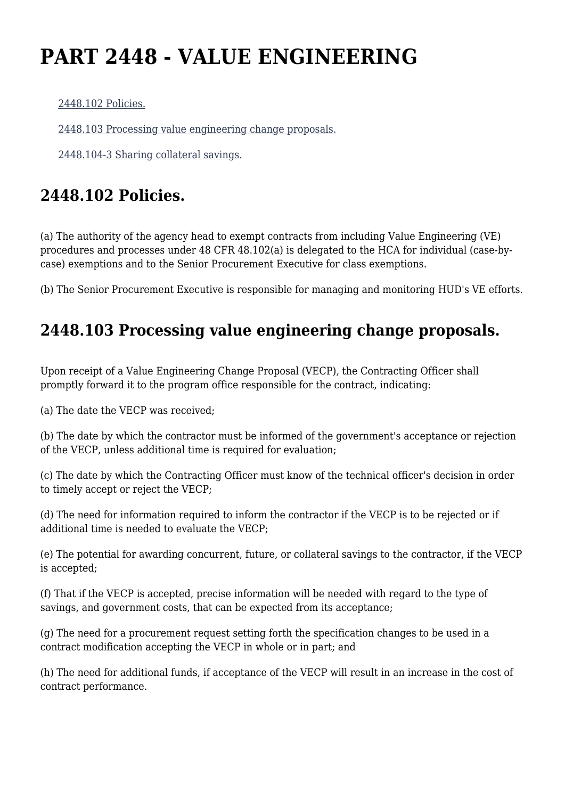## **PART 2448 - VALUE ENGINEERING**

[2448.102 Policies.](https://origin-www.acquisition.gov/%5Brp:link:hudar-part-2448%5D#Section_2448_102_T48_6095434011)

[2448.103 Processing value engineering change proposals.](https://origin-www.acquisition.gov/%5Brp:link:hudar-part-2448%5D#Section_2448_103_T48_6095434012)

[2448.104-3 Sharing collateral savings.](https://origin-www.acquisition.gov/%5Brp:link:hudar-part-2448%5D#Section_2448_104_3_T48_6095434013)

## **2448.102 Policies.**

(a) The authority of the agency head to exempt contracts from including Value Engineering (VE) procedures and processes under 48 CFR 48.102(a) is delegated to the HCA for individual (case-bycase) exemptions and to the Senior Procurement Executive for class exemptions.

(b) The Senior Procurement Executive is responsible for managing and monitoring HUD's VE efforts.

## **2448.103 Processing value engineering change proposals.**

Upon receipt of a Value Engineering Change Proposal (VECP), the Contracting Officer shall promptly forward it to the program office responsible for the contract, indicating:

(a) The date the VECP was received;

(b) The date by which the contractor must be informed of the government's acceptance or rejection of the VECP, unless additional time is required for evaluation;

(c) The date by which the Contracting Officer must know of the technical officer's decision in order to timely accept or reject the VECP;

(d) The need for information required to inform the contractor if the VECP is to be rejected or if additional time is needed to evaluate the VECP;

(e) The potential for awarding concurrent, future, or collateral savings to the contractor, if the VECP is accepted;

(f) That if the VECP is accepted, precise information will be needed with regard to the type of savings, and government costs, that can be expected from its acceptance;

(g) The need for a procurement request setting forth the specification changes to be used in a contract modification accepting the VECP in whole or in part; and

(h) The need for additional funds, if acceptance of the VECP will result in an increase in the cost of contract performance.